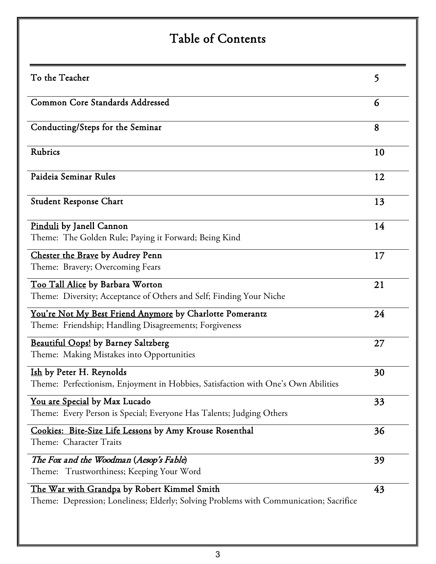# Table of Contents

| To the Teacher                                                                                                                        | 5  |
|---------------------------------------------------------------------------------------------------------------------------------------|----|
| Common Core Standards Addressed                                                                                                       | 6  |
| Conducting/Steps for the Seminar                                                                                                      | 8  |
| Rubrics                                                                                                                               | 10 |
| Paideia Seminar Rules                                                                                                                 | 12 |
| <b>Student Response Chart</b>                                                                                                         | 13 |
| Pinduli by Janell Cannon<br>Theme: The Golden Rule; Paying it Forward; Being Kind                                                     | 14 |
| Chester the Brave by Audrey Penn<br>Theme: Bravery; Overcoming Fears                                                                  | 17 |
| Too Tall Alice by Barbara Worton<br>Theme: Diversity; Acceptance of Others and Self; Finding Your Niche                               | 21 |
| You're Not My Best Friend Anymore by Charlotte Pomerantz<br>Theme: Friendship; Handling Disagreements; Forgiveness                    | 24 |
| Beautiful Oops! by Barney Saltzberg<br>Theme: Making Mistakes into Opportunities                                                      | 27 |
| Ish by Peter H. Reynolds<br>Theme: Perfectionism, Enjoyment in Hobbies, Satisfaction with One's Own Abilities                         | 30 |
| <u>You are Special</u> by Max Lucado<br>Theme: Every Person is Special; Everyone Has Talents; Judging Others                          | 33 |
| Cookies: Bite-Size Life Lessons by Amy Krouse Rosenthal<br>Theme: Character Traits                                                    | 36 |
| The Fox and the Woodman (Aesop's Fable)<br>Trustworthiness; Keeping Your Word<br>Theme:                                               | 39 |
| The War with Grandpa by Robert Kimmel Smith<br>Theme: Depression; Loneliness; Elderly; Solving Problems with Communication; Sacrifice | 43 |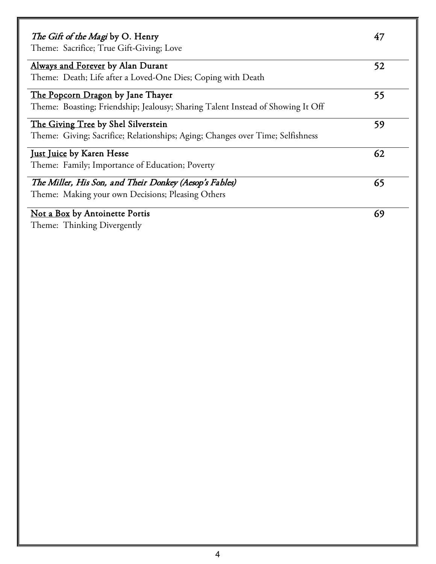| The Gift of the Magi by O. Henry<br>Theme: Sacrifice; True Gift-Giving; Love    | 47 |
|---------------------------------------------------------------------------------|----|
| Always and Forever by Alan Durant                                               | 52 |
| Theme: Death; Life after a Loved-One Dies; Coping with Death                    |    |
| The Popcorn Dragon by Jane Thayer                                               | 55 |
| Theme: Boasting; Friendship; Jealousy; Sharing Talent Instead of Showing It Off |    |
| The Giving Tree by Shel Silverstein                                             | 59 |
| Theme: Giving; Sacrifice; Relationships; Aging; Changes over Time; Selfishness  |    |
| <u>Just Juice</u> by Karen Hesse                                                | 62 |
| Theme: Family; Importance of Education; Poverty                                 |    |
| The Miller, His Son, and Their Donkey (Aesop's Fables)                          | 65 |
| Theme: Making your own Decisions; Pleasing Others                               |    |
| Not a Box by Antoinette Portis                                                  | 69 |
| Theme: Thinking Divergently                                                     |    |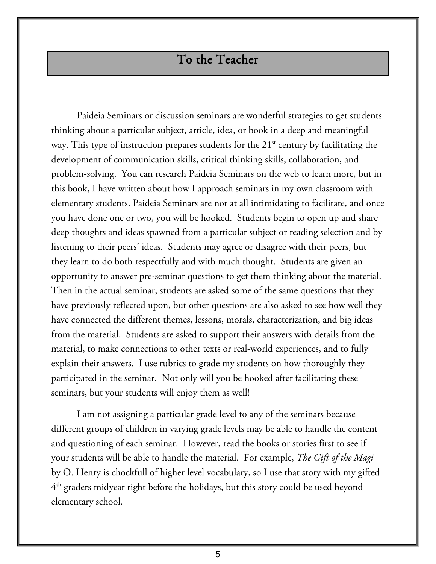### To the Teacher

Paideia Seminars or discussion seminars are wonderful strategies to get students thinking about a particular subject, article, idea, or book in a deep and meaningful way. This type of instruction prepares students for the  $21<sup>st</sup>$  century by facilitating the development of communication skills, critical thinking skills, collaboration, and problem-solving. You can research Paideia Seminars on the web to learn more, but in this book, I have written about how I approach seminars in my own classroom with elementary students. Paideia Seminars are not at all intimidating to facilitate, and once you have done one or two, you will be hooked. Students begin to open up and share deep thoughts and ideas spawned from a particular subject or reading selection and by listening to their peers' ideas. Students may agree or disagree with their peers, but they learn to do both respectfully and with much thought. Students are given an opportunity to answer pre-seminar questions to get them thinking about the material. Then in the actual seminar, students are asked some of the same questions that they have previously reflected upon, but other questions are also asked to see how well they have connected the different themes, lessons, morals, characterization, and big ideas from the material. Students are asked to support their answers with details from the material, to make connections to other texts or real-world experiences, and to fully explain their answers. I use rubrics to grade my students on how thoroughly they participated in the seminar. Not only will you be hooked after facilitating these seminars, but your students will enjoy them as well!

I am not assigning a particular grade level to any of the seminars because different groups of children in varying grade levels may be able to handle the content and questioning of each seminar. However, read the books or stories first to see if your students will be able to handle the material. For example, *The Gift of the Magi* by O. Henry is chockfull of higher level vocabulary, so I use that story with my gifted 4th graders midyear right before the holidays, but this story could be used beyond elementary school.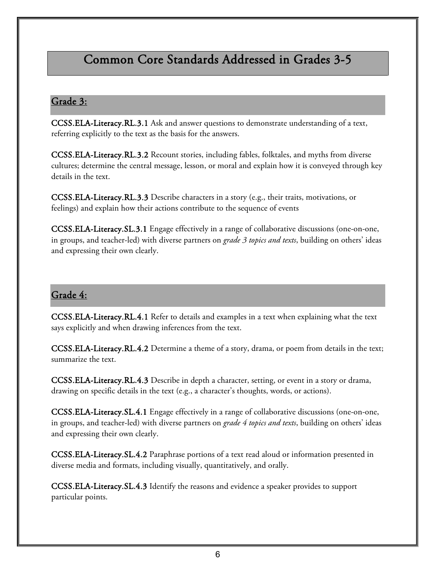## Common Core Standards Addressed in Grades 3-5

#### Grade 3:

[CCSS.ELA-Literacy.RL.3.1](http://www.corestandards.org/ELA-Literacy/RL/3/1/) Ask and answer questions to demonstrate understanding of a text, referring explicitly to the text as the basis for the answers.

[CCSS.ELA-Literacy.RL.3.2](http://www.corestandards.org/ELA-Literacy/RL/3/2/) Recount stories, including fables, folktales, and myths from diverse cultures; determine the central message, lesson, or moral and explain how it is conveyed through key details in the text.

[CCSS.ELA-Literacy.RL.3.3](http://www.corestandards.org/ELA-Literacy/RL/3/3/) Describe characters in a story (e.g., their traits, motivations, or feelings) and explain how their actions contribute to the sequence of events

[CCSS.ELA-Literacy.SL.3.1](http://www.corestandards.org/ELA-Literacy/SL/3/1/) Engage effectively in a range of collaborative discussions (one-on-one, in groups, and teacher-led) with diverse partners on *grade 3 topics and texts*, building on others' ideas and expressing their own clearly.

#### Grade 4:

[CCSS.ELA-Literacy.RL.4.1](http://www.corestandards.org/ELA-Literacy/RL/4/1/) Refer to details and examples in a text when explaining what the text says explicitly and when drawing inferences from the text.

[CCSS.ELA-Literacy.RL.4.2](http://www.corestandards.org/ELA-Literacy/RL/4/2/) Determine a theme of a story, drama, or poem from details in the text; summarize the text.

[CCSS.ELA-Literacy.RL.4.3](http://www.corestandards.org/ELA-Literacy/RL/4/3/) Describe in depth a character, setting, or event in a story or drama, drawing on specific details in the text (e.g., a character's thoughts, words, or actions).

[CCSS.ELA-Literacy.SL.4.1](http://www.corestandards.org/ELA-Literacy/SL/4/1/) Engage effectively in a range of collaborative discussions (one-on-one, in groups, and teacher-led) with diverse partners on *grade 4 topics and texts*, building on others' ideas and expressing their own clearly.

[CCSS.ELA-Literacy.SL.4.2](http://www.corestandards.org/ELA-Literacy/SL/4/2/) Paraphrase portions of a text read aloud or information presented in diverse media and formats, including visually, quantitatively, and orally.

[CCSS.ELA-Literacy.SL.4.3](http://www.corestandards.org/ELA-Literacy/SL/4/3/) Identify the reasons and evidence a speaker provides to support particular points.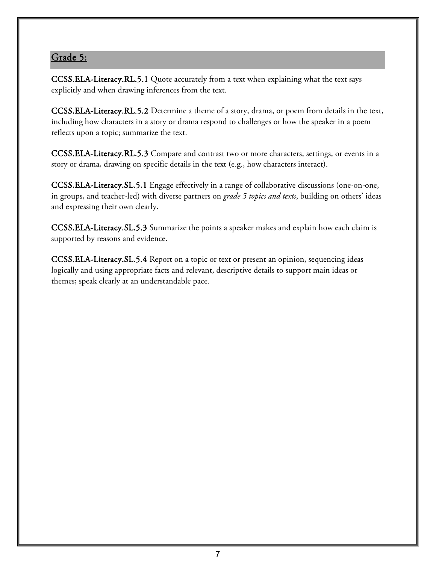### Grade 5:

[CCSS.ELA-Literacy.RL.5.1](http://www.corestandards.org/ELA-Literacy/RL/5/1/) Quote accurately from a text when explaining what the text says explicitly and when drawing inferences from the text.

[CCSS.ELA-Literacy.RL.5.2](http://www.corestandards.org/ELA-Literacy/RL/5/2/) Determine a theme of a story, drama, or poem from details in the text, including how characters in a story or drama respond to challenges or how the speaker in a poem reflects upon a topic; summarize the text.

[CCSS.ELA-Literacy.RL.5.3](http://www.corestandards.org/ELA-Literacy/RL/5/3/) Compare and contrast two or more characters, settings, or events in a story or drama, drawing on specific details in the text (e.g., how characters interact).

[CCSS.ELA-Literacy.SL.5.1](http://www.corestandards.org/ELA-Literacy/SL/5/1/) Engage effectively in a range of collaborative discussions (one-on-one, in groups, and teacher-led) with diverse partners on *grade 5 topics and texts*, building on others' ideas and expressing their own clearly.

[CCSS.ELA-Literacy.SL.5.3](http://www.corestandards.org/ELA-Literacy/SL/5/3/) Summarize the points a speaker makes and explain how each claim is supported by reasons and evidence.

[CCSS.ELA-Literacy.SL.5.4](http://www.corestandards.org/ELA-Literacy/SL/5/4/) Report on a topic or text or present an opinion, sequencing ideas logically and using appropriate facts and relevant, descriptive details to support main ideas or themes; speak clearly at an understandable pace.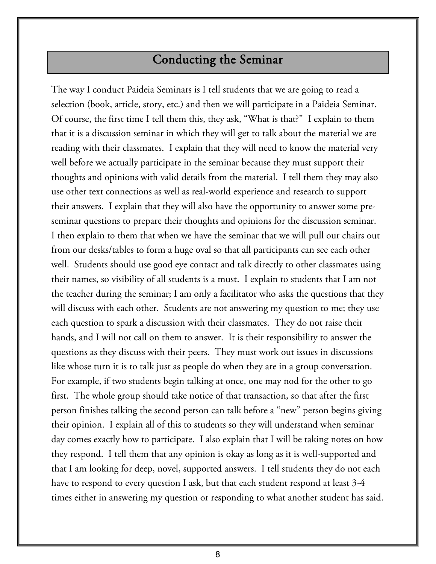## Conducting the Seminar

The way I conduct Paideia Seminars is I tell students that we are going to read a selection (book, article, story, etc.) and then we will participate in a Paideia Seminar. Of course, the first time I tell them this, they ask, "What is that?" I explain to them that it is a discussion seminar in which they will get to talk about the material we are reading with their classmates. I explain that they will need to know the material very well before we actually participate in the seminar because they must support their thoughts and opinions with valid details from the material. I tell them they may also use other text connections as well as real-world experience and research to support their answers. I explain that they will also have the opportunity to answer some preseminar questions to prepare their thoughts and opinions for the discussion seminar. I then explain to them that when we have the seminar that we will pull our chairs out from our desks/tables to form a huge oval so that all participants can see each other well. Students should use good eye contact and talk directly to other classmates using their names, so visibility of all students is a must. I explain to students that I am not the teacher during the seminar; I am only a facilitator who asks the questions that they will discuss with each other. Students are not answering my question to me; they use each question to spark a discussion with their classmates. They do not raise their hands, and I will not call on them to answer. It is their responsibility to answer the questions as they discuss with their peers. They must work out issues in discussions like whose turn it is to talk just as people do when they are in a group conversation. For example, if two students begin talking at once, one may nod for the other to go first. The whole group should take notice of that transaction, so that after the first person finishes talking the second person can talk before a "new" person begins giving their opinion. I explain all of this to students so they will understand when seminar day comes exactly how to participate. I also explain that I will be taking notes on how they respond. I tell them that any opinion is okay as long as it is well-supported and that I am looking for deep, novel, supported answers. I tell students they do not each have to respond to every question I ask, but that each student respond at least 3-4 times either in answering my question or responding to what another student has said.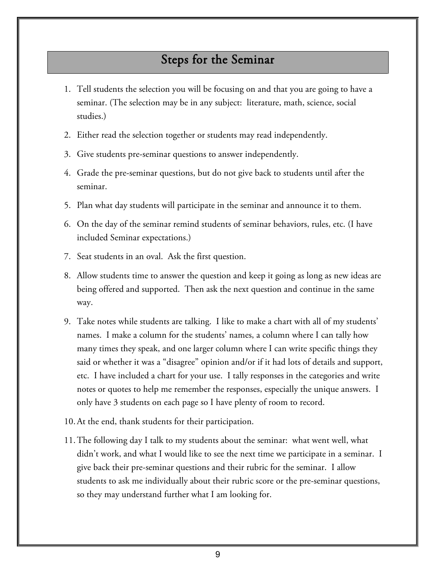### Steps for the Seminar

- 1. Tell students the selection you will be focusing on and that you are going to have a seminar. (The selection may be in any subject: literature, math, science, social studies.)
- 2. Either read the selection together or students may read independently.
- 3. Give students pre-seminar questions to answer independently.
- 4. Grade the pre-seminar questions, but do not give back to students until after the seminar.
- 5. Plan what day students will participate in the seminar and announce it to them.
- 6. On the day of the seminar remind students of seminar behaviors, rules, etc. (I have included Seminar expectations.)
- 7. Seat students in an oval. Ask the first question.
- 8. Allow students time to answer the question and keep it going as long as new ideas are being offered and supported. Then ask the next question and continue in the same way.
- 9. Take notes while students are talking. I like to make a chart with all of my students' names. I make a column for the students' names, a column where I can tally how many times they speak, and one larger column where I can write specific things they said or whether it was a "disagree" opinion and/or if it had lots of details and support, etc. I have included a chart for your use. I tally responses in the categories and write notes or quotes to help me remember the responses, especially the unique answers. I only have 3 students on each page so I have plenty of room to record.
- 10.At the end, thank students for their participation.
- 11.The following day I talk to my students about the seminar: what went well, what didn't work, and what I would like to see the next time we participate in a seminar. I give back their pre-seminar questions and their rubric for the seminar. I allow students to ask me individually about their rubric score or the pre-seminar questions, so they may understand further what I am looking for.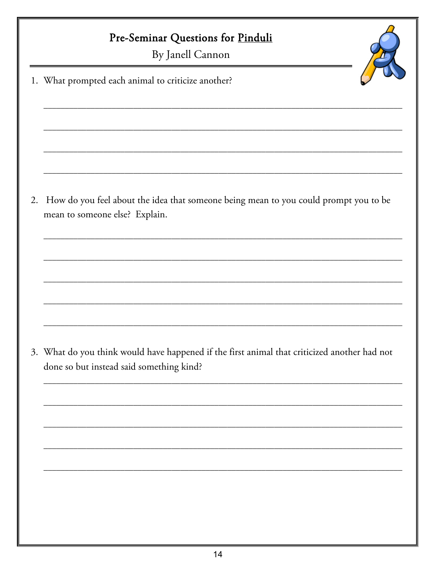# Pre-Seminar Questions for Pinduli

By Janell Cannon

1. What prompted each animal to criticize another?

2. How do you feel about the idea that someone being mean to you could prompt you to be mean to someone else? Explain.

3. What do you think would have happened if the first animal that criticized another had not done so but instead said something kind?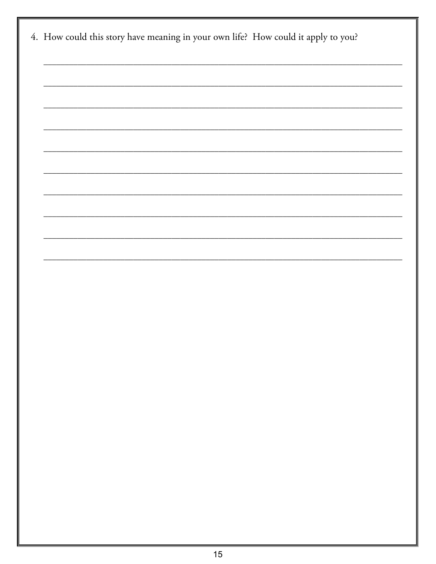| 4. How could this story have meaning in your own life? How could it apply to you? |
|-----------------------------------------------------------------------------------|
|                                                                                   |
|                                                                                   |
|                                                                                   |
|                                                                                   |
|                                                                                   |
|                                                                                   |
|                                                                                   |
|                                                                                   |
|                                                                                   |
|                                                                                   |
|                                                                                   |
|                                                                                   |
|                                                                                   |
|                                                                                   |
|                                                                                   |
|                                                                                   |